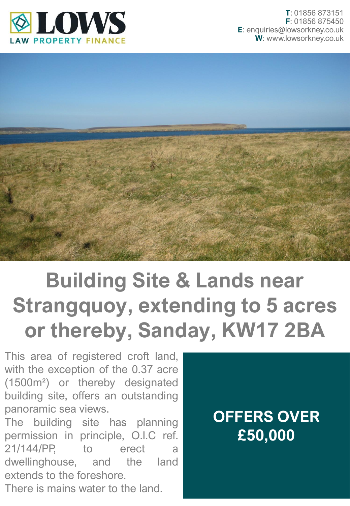



## **Building Site & Lands near Strangquoy, extending to 5 acres or thereby, Sanday, KW17 2BA**

This area of registered croft land, with the exception of the 0.37 acre (1500m²) or thereby designated building site, offers an outstanding panoramic sea views.

The building site has planning permission in principle, O.I.C ref. 21/144/PP, to erect a dwellinghouse, and the land extends to the foreshore.

There is mains water to the land.

## **OFFERS OVER £50,000**